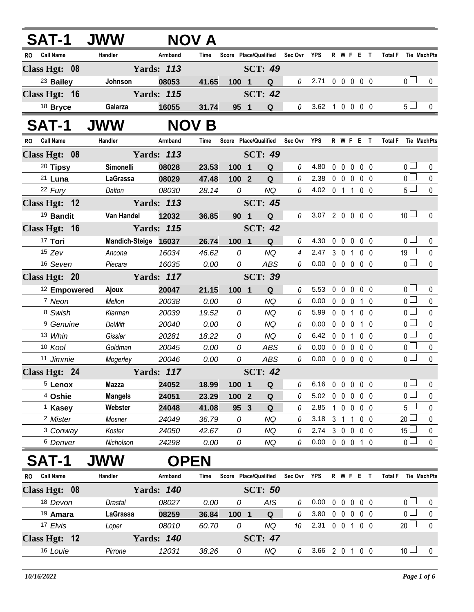| <b>SAT-1</b>            | <b>JWW</b>           |                   | NOV A       |                       |                               |                |                            |                |             |                |                   |                     |                 |                    |
|-------------------------|----------------------|-------------------|-------------|-----------------------|-------------------------------|----------------|----------------------------|----------------|-------------|----------------|-------------------|---------------------|-----------------|--------------------|
| RO Call Name            | Handler              | Armband           | Time        |                       | Score Place/Qualified Sec Ovr |                | <b>YPS</b>                 |                |             |                | R W F E T         | Total F Tie MachPts |                 |                    |
| Class Hgt: $08$         |                      | <b>Yards: 113</b> |             |                       | <b>SCT: 49</b>                |                |                            |                |             |                |                   |                     |                 |                    |
| <sup>23</sup> Bailey    | Johnson              | 08053             | 41.65       | 100 1                 | Q                             | 0              | 2.71 0 0 0 0 0             |                |             |                |                   |                     | 0 <sub>1</sub>  | $\mathbf{0}$       |
| Class Hgt: 16           |                      | <b>Yards: 115</b> |             |                       | <b>SCT: 42</b>                |                |                            |                |             |                |                   |                     |                 |                    |
| <sup>18</sup> Bryce     | Galarza              | 16055             | 31.74       | 95 1                  | Q                             | 0              | 3.62 1 0 0 0 0             |                |             |                |                   |                     | 5 <sub>1</sub>  | $\mathbf{0}$       |
| <b>SAT-1</b>            | <b>JWW</b>           | <b>NOV</b>        | B           |                       |                               |                |                            |                |             |                |                   |                     |                 |                    |
| <b>Call Name</b><br>RO. | Handler              | Armband           | Time        | Score Place/Qualified |                               | Sec Ovr        | YPS                        |                |             |                | R W F E T         | <b>Total F</b>      |                 | <b>Tie MachPts</b> |
| Class Hgt: 08           |                      | <b>Yards: 113</b> |             |                       | <b>SCT: 49</b>                |                |                            |                |             |                |                   |                     |                 |                    |
| 20 Tipsy                | Simonelli            | 08028             | 23.53       | 100 1                 | Q                             | 0              | 4.80                       |                |             |                | 00000             |                     | 0 <sub>0</sub>  | 0                  |
| 21 Luna                 | LaGrassa             | 08029             | 47.48       | 1002                  | Q                             | 0              | 2.38                       |                |             |                | 00000             |                     | $\overline{0}$  | $\mathbf 0$        |
| 22 Fury                 | Dalton               | 08030             | 28.14       | 0                     | <b>NQ</b>                     | 0              | 4.02 0 1 1 0 0             |                |             |                |                   |                     | $5\Box$         | $\mathbf 0$        |
| Class Hgt: 12           |                      | <b>Yards: 113</b> |             |                       | <b>SCT: 45</b>                |                |                            |                |             |                |                   |                     |                 |                    |
| <sup>19</sup> Bandit    | Van Handel           | 12032             | 36.85       | 90 <sub>1</sub>       | Q                             | 0              | 3.07 2 0 0 0 0             |                |             |                |                   |                     | 10 <sup>1</sup> | $\mathbf{0}$       |
| Class Hgt: 16           |                      | <b>Yards: 115</b> |             |                       | <b>SCT: 42</b>                |                |                            |                |             |                |                   |                     |                 |                    |
| 17 Tori                 | Mandich-Steige 16037 |                   | 26.74       | 100 1                 | Q                             | 0              | 4.30                       |                |             |                | 0 0 0 0 0         |                     | 0 <sub>l</sub>  | 0                  |
| $15$ Zev                | Ancona               | 16034             | 46.62       | 0                     | <b>NQ</b>                     | $\overline{4}$ | 2.47                       |                | 3 0 1       |                | 0 <sub>0</sub>    |                     | 19 <sup>1</sup> | 0                  |
| 16 Seven                | Piecara              | 16035             | 0.00        | 0                     | <b>ABS</b>                    | 0              | $0.00 \t0 \t0 \t0 \t0 \t0$ |                |             |                |                   |                     | $\overline{0}$  | $\mathbf 0$        |
| Class Hgt: 20           |                      | <b>Yards: 117</b> |             |                       | <b>SCT: 39</b>                |                |                            |                |             |                |                   |                     |                 |                    |
| <sup>12</sup> Empowered | Ajoux                | 20047             | 21.15       | 100 1                 | $\mathbf Q$                   | 0              | 5.53                       |                |             |                | 00000             |                     | 0 <sub>1</sub>  | 0                  |
| 7 Neon                  | Mellon               | 20038             | 0.00        | 0                     | <b>NQ</b>                     | 0              | 0.00                       |                |             |                | 0 0 0 1 0         |                     | $\overline{0}$  | $\mathbf 0$        |
| 8 Swish                 | Klarman              | 20039             | 19.52       | 0                     | <b>NQ</b>                     | 0              | 5.99                       |                |             |                | 0 0 1 0 0         |                     | $\overline{0}$  | $\mathbf 0$        |
| <sup>9</sup> Genuine    | <b>DeWitt</b>        | 20040             | 0.00        | 0                     | <b>NQ</b>                     | 0              | 0.00                       |                |             |                | 0 0 0 1 0         |                     | $\overline{0}$  | $\pmb{0}$          |
| 13 Whin                 | Gissler              | 20281             | 18.22       | 0                     | <b>NQ</b>                     | 0              | 6.42                       |                | $0\quad 0$  | $\overline{1}$ | $0\quad 0$        |                     | 0 <sup>1</sup>  | $\pmb{0}$          |
| 10 Kool                 | Goldman              | 20045             | 0.00        | 0                     | <b>ABS</b>                    | 0              | 0.00                       |                |             |                | 00000             |                     | $\overline{0}$  | $\pmb{0}$          |
| 11 Jimmie               | Mogerley             | 20046             | 0.00        | 0                     | ABS                           | 0              | 0.00                       |                |             |                | 00000             |                     | $\overline{0}$  | $\pmb{0}$          |
| Class Hgt: 24           |                      | <b>Yards: 117</b> |             |                       | <b>SCT: 42</b>                |                |                            |                |             |                |                   |                     |                 |                    |
| <sup>5</sup> Lenox      | Mazza                | 24052             | 18.99       | 100 1                 | Q                             | 0              | 6.16                       |                |             |                | 00000             |                     | $\overline{0}$  | $\mathbf 0$        |
| <sup>4</sup> Oshie      | <b>Mangels</b>       | 24051             | 23.29       | 100 2                 | Q                             | 0              | 5.02                       |                | $0\quad 0$  |                | $0\quad 0\quad 0$ |                     | 0 <sub>0</sub>  | 0                  |
| <sup>1</sup> Kasey      | Webster              | 24048             | 41.08       | 95 3                  | $\mathbf Q$                   | 0              | 2.85                       |                |             |                | 1 0 0 0 0         |                     | 5 <sub>1</sub>  | $\pmb{0}$          |
| <sup>2</sup> Mister     | Mosner               | 24049             | 36.79       | 0                     | <b>NQ</b>                     | 0              | 3.18                       | 3 <sup>1</sup> | $\mathbf 1$ | 1              | $0\quad 0$        |                     | 20 <sup>L</sup> | 0                  |
| <sup>3</sup> Conway     | Koster               | 24050             | 42.67       | 0                     | <b>NQ</b>                     | 0              | 2.74                       |                |             |                | 3 0 0 0 0         |                     | 15 <sup>1</sup> | $\mathbf 0$        |
| <sup>6</sup> Denver     | Nicholson            | 24298             | 0.00        | 0                     | <b>NQ</b>                     | 0              | 0.00                       |                |             |                | 0 0 0 1 0         |                     | 0 <sub>0</sub>  | $\mathbf 0$        |
| <b>SAT-1</b>            | <b>IWW</b>           |                   | <b>OPEN</b> |                       |                               |                |                            |                |             |                |                   |                     |                 |                    |
| <b>Call Name</b><br>RO  | Handler              | Armband           | Time        | Score Place/Qualified |                               | Sec Ovr        | <b>YPS</b>                 |                |             |                | R W F E T         | <b>Total F</b>      |                 | Tie MachPts        |
| Class Hgt: 08           |                      | <b>Yards: 140</b> |             |                       | <b>SCT: 50</b>                |                |                            |                |             |                |                   |                     |                 |                    |
| 18 Devon                | Drastal              | 08027             | 0.00        | 0                     | <b>AIS</b>                    | 0              | $0.00 \t0 \t0 \t0 \t0$     |                |             |                |                   |                     | 0 <sub>0</sub>  | $\mathbf 0$        |

| <sup>19</sup> Amara | LaGrassa | 08259                | 36.84 | 100 |           |    | 3.80 |  | nnnnn |                 |  |
|---------------------|----------|----------------------|-------|-----|-----------|----|------|--|-------|-----------------|--|
| <sup>17</sup> Elvis | Loper    | 08010                | 60.70 |     | NQ        | 10 | 2.31 |  |       | 20 <sub>2</sub> |  |
| Class Hgt: $12$     |          | 140<br><b>Yards:</b> |       |     | SCT: $47$ |    |      |  |       |                 |  |
| 16 Louie            | Pirrone  | 12031                | 38.26 |     | NQ        |    | 3.66 |  |       | 10 <sup>1</sup> |  |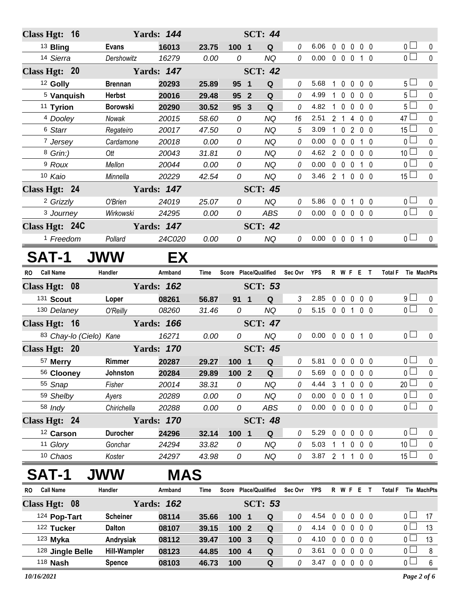| Class Hgt: 16          |                         |                 | <b>Yards: 144</b> |       |                 | <b>SCT: 44</b>        |                |                            |                |                   |             |                                 |                     |                       |              |
|------------------------|-------------------------|-----------------|-------------------|-------|-----------------|-----------------------|----------------|----------------------------|----------------|-------------------|-------------|---------------------------------|---------------------|-----------------------|--------------|
| <sup>13</sup> Bling    |                         | <b>Evans</b>    | 16013             | 23.75 | 100 1           | Q                     | 0              | 6.06                       |                |                   |             | 00000                           |                     | $\overline{0}$ $\Box$ | 0            |
| 14 Sierra              |                         | Dershowitz      | 16279             | 0.00  | 0               | <b>NQ</b>             | 0              | $0.00 \t0 \t0 \t0 \t1 \t0$ |                |                   |             |                                 |                     | $\overline{0}$        | $\mathbf{0}$ |
| Class Hgt: 20          |                         |                 | <b>Yards: 147</b> |       |                 | <b>SCT: 42</b>        |                |                            |                |                   |             |                                 |                     |                       |              |
| <sup>12</sup> Golly    |                         | <b>Brennan</b>  | 20293             | 25.89 | 95 1            | Q                     | 0              | 5.68                       | $\mathbf{1}$   |                   |             | $0\ 0\ 0\ 0$                    |                     | 5 <sub>1</sub>        | 0            |
| <sup>5</sup> Vanquish  |                         | <b>Herbst</b>   | 20016             | 29.48 | 95 2            | Q                     | 0              | 4.99                       | $\mathbf{1}$   |                   |             | 0 0 0 0                         |                     | 5 <sub>1</sub>        | $\mathbf 0$  |
| <sup>11</sup> Tyrion   |                         | <b>Borowski</b> | 20290             | 30.52 | 95 3            | Q                     | 0              | 4.82                       | $\mathbf{1}$   |                   |             | $0\quad 0\quad 0\quad 0$        |                     | 5 <sub>1</sub>        | $\pmb{0}$    |
| <sup>4</sup> Dooley    |                         | Nowak           | 20015             | 58.60 | 0               | <b>NQ</b>             | 16             | 2.51                       |                |                   |             | 2 1 4 0 0                       |                     | $47 \Box$             | $\pmb{0}$    |
| <sup>6</sup> Starr     |                         | Regateiro       | 20017             | 47.50 | 0               | <b>NQ</b>             | 5              | 3.09                       |                |                   |             | 1 0 2 0 0                       |                     | $15\perp$             | 0            |
| 7 Jersey               |                         | Cardamone       | 20018             | 0.00  | $\mathcal{O}$   | <b>NQ</b>             | 0              | 0.00                       |                |                   |             | 0 0 0 1 0                       |                     | 0 <sub>0</sub>        | $\pmb{0}$    |
| 8 Grin:)               |                         | Ott             | 20043             | 31.81 | 0               | <b>NQ</b>             | 0              | 4.62                       |                |                   |             | 2 0 0 0 0                       |                     | 10 <sup>1</sup>       | $\mathbf 0$  |
| <sup>9</sup> Roux      |                         | Mellon          | 20044             | 0.00  | $\mathcal{O}$   | <b>NQ</b>             | 0              | 0.00                       |                |                   |             | 0 0 0 1 0                       |                     | $\overline{0}$        | $\pmb{0}$    |
| 10 Kaio                |                         | Minnella        | 20229             | 42.54 | 0               | <b>NQ</b>             | 0              | 3.46 2 1 0 0 0             |                |                   |             |                                 |                     | 15 <sup>1</sup>       | $\pmb{0}$    |
| Class Hgt: 24          |                         |                 | <b>Yards: 147</b> |       |                 | <b>SCT: 45</b>        |                |                            |                |                   |             |                                 |                     |                       |              |
| <sup>2</sup> Grizzly   |                         | O'Brien         | 24019             | 25.07 | 0               | <b>NQ</b>             | 0              | 5.86                       |                |                   |             | 0 0 1 0 0                       |                     | 0 <sub>0</sub>        | $\mathbf 0$  |
| 3 Journey              |                         | Wirkowski       | 24295             | 0.00  | 0               | ABS                   | 0              | 0.00                       |                |                   |             | $0\quad 0\quad 0\quad 0\quad 0$ |                     | $\overline{0}$        | $\mathbf 0$  |
| Class Hgt: 24C         |                         |                 | <b>Yards: 147</b> |       |                 | <b>SCT: 42</b>        |                |                            |                |                   |             |                                 |                     |                       |              |
| <sup>1</sup> Freedom   |                         | Pollard         | 24C020            | 0.00  | 0               | <b>NQ</b>             | 0              | $0.00 \t0 \t0 \t0 \t1 \t0$ |                |                   |             |                                 |                     | 0 <sub>0</sub>        | $\mathbf 0$  |
| <b>SAT-1</b>           |                         | <b>JWW</b>      | EX                |       |                 |                       |                |                            |                |                   |             |                                 |                     |                       |              |
|                        |                         |                 |                   |       |                 |                       |                |                            |                |                   |             |                                 |                     |                       |              |
| RO Call Name           |                         | Handler         | Armband           | Time  |                 | Score Place/Qualified | Sec Ovr YPS    |                            |                |                   |             | R W F E T                       | Total F Tie MachPts |                       |              |
| Class Hgt: 08          |                         |                 | <b>Yards: 162</b> |       |                 | <b>SCT: 53</b>        |                |                            |                |                   |             |                                 |                     |                       |              |
| 131 Scout              |                         | Loper           | 08261             | 56.87 | 91 <sub>1</sub> | Q                     | $\mathfrak{Z}$ | 2.85                       |                |                   |             | 00000                           |                     | 9 <sub>1</sub>        | $\mathbf 0$  |
| 130 Delaney            |                         | O'Reilly        | 08260             | 31.46 | 0               | <b>NQ</b>             | 0              | 5.15 0 0 1 0 0             |                |                   |             |                                 |                     | $\overline{0}$        | $\mathbf 0$  |
| Class Hgt: 16          |                         |                 | <b>Yards: 166</b> |       |                 | <b>SCT: 47</b>        |                |                            |                |                   |             |                                 |                     |                       |              |
|                        | 83 Chay-lo (Cielo) Kane |                 | 16271             | 0.00  | 0               | <b>NQ</b>             | 0              | $0.00 \t0 \t0 \t0 \t1 \t0$ |                |                   |             |                                 |                     | 0 <sub>0</sub>        | $\mathbf 0$  |
| Class Hgt: 20          |                         |                 | <b>Yards: 170</b> |       |                 | <b>SCT: 45</b>        |                |                            |                |                   |             |                                 |                     |                       |              |
| 57 Merry               |                         | Rimmer          | 20287             | 29.27 | 100 1           | Q                     | 0              | 5.81                       |                |                   |             | 00000                           |                     | $\overline{0}$        | $\pmb{0}$    |
| 56 Clooney             |                         | Johnston        | 20284             | 29.89 | 100 2           | $\overline{Q}$        | $\mathcal O$   | 5.69 0 0 0 0 0             |                |                   |             |                                 |                     | $\overline{0}$        |              |
| 55 Snap                |                         | Fisher          | 20014             | 38.31 | 0               | <b>NQ</b>             | 0              | 4.44                       | 3 <sub>1</sub> |                   |             | $0\quad 0\quad 0$               |                     | 20 <sup>L</sup>       | 0            |
| 59 Shelby              |                         | Ayers           | 20289             | 0.00  | 0               | <b>NQ</b>             | 0              | 0.00                       |                | $0\quad 0\quad 0$ |             | $1\quad0$                       |                     | 0 <sub>0</sub>        | $\pmb{0}$    |
| 58 Indy                |                         | Chirichella     | 20288             | 0.00  | 0               | ABS                   | 0              | 0.00                       |                |                   |             | 00000                           |                     | 0 <sub>0</sub>        | $\pmb{0}$    |
| Class Hgt: 24          |                         |                 | <b>Yards: 170</b> |       |                 | <b>SCT: 48</b>        |                |                            |                |                   |             |                                 |                     |                       | $\mathbf 0$  |
| 12 Carson              |                         | <b>Durocher</b> | 24296             | 32.14 | 100 1           | Q                     | 0              | 5.29                       | $0\quad 0$     |                   | $\mathbf 0$ | 0 <sub>0</sub>                  |                     | 0 <sub>0</sub>        | 0            |
| 11 Glory               |                         | Gonchar         | 24294             | 33.82 | 0               | <b>NQ</b>             | 0              | 5.03                       |                | 1                 |             | $0\ 0\ 0$                       |                     | 10 <sup>L</sup>       | 0            |
| 10 Chaos               |                         | Koster          | 24297             | 43.98 | 0               | NQ                    | 0              | 3.87                       | 2 <sub>1</sub> |                   |             | 1 0 0                           |                     | 15 <sup>1</sup>       | $\pmb{0}$    |
|                        |                         | <b>JWW</b>      | MAS               |       |                 |                       |                |                            |                |                   |             |                                 |                     |                       |              |
| <b>Call Name</b><br>RO |                         | Handler         | Armband           | Time  |                 | Score Place/Qualified | Sec Ovr        | YPS                        |                |                   |             | R W F E T                       | <b>Total F</b>      | <b>Tie MachPts</b>    |              |

|                 | , ,,,,,,,,,,,,,,               | .                 |                   |   |                                  |                |          |              | . |                                        |    |
|-----------------|--------------------------------|-------------------|-------------------|---|----------------------------------|----------------|----------|--------------|---|----------------------------------------|----|
|                 |                                |                   |                   |   |                                  |                |          |              |   |                                        |    |
| <b>Scheiner</b> | 08114                          | 35.66             | 100               | Q |                                  | 4.54           |          |              |   |                                        | 17 |
| <b>Dalton</b>   | 08107                          | 39.15             | 100<br>$\sqrt{2}$ | Q |                                  |                |          |              |   |                                        | 13 |
| Andrysiak       | 08112                          | 39.47             | 1003              | Q |                                  |                | $\Omega$ |              |   |                                        | 13 |
| Hill-Wampler    | 08123                          | 44.85             | 100<br>-4         | Q |                                  | 3.61           |          |              |   |                                        | 8  |
| <b>Spence</b>   | 08103                          | 46.73             | 100               | Q |                                  | 3.47           |          |              |   |                                        | 6  |
|                 | ,,,,,,,,,,<br>128 Jingle Belle | <b>Yards: 162</b> |                   |   | <u> 99919 - 1999 W.G. Millog</u> | <b>SCT: 53</b> |          | 4.14<br>4.10 |   | 00<br>00<br>0 <sub>0</sub><br>00<br>00 |    |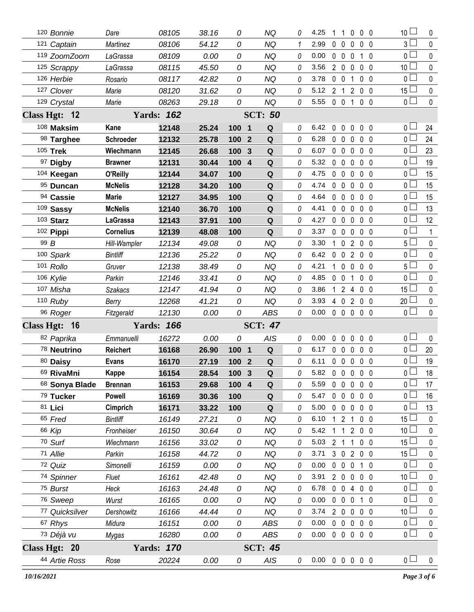| 120 Bonnie     | Dare             | 08105             | 38.16 | 0                   | <b>NQ</b>      | 0        | 4.25                       | 1              | $\overline{1}$          | $\mathbf 0$    | 0 <sub>0</sub>      | 10 <sup>1</sup> | 0            |
|----------------|------------------|-------------------|-------|---------------------|----------------|----------|----------------------------|----------------|-------------------------|----------------|---------------------|-----------------|--------------|
| 121 Captain    | Martinez         | 08106             | 54.12 | 0                   | <b>NQ</b>      | 1        | 2.99                       | $\mathbf 0$    | $\overline{0}$          | 0              | 0 <sub>0</sub>      | 3 <sup>l</sup>  | $\mathbf 0$  |
| 119 ZoomZoom   | LaGrassa         | 08109             | 0.00  | 0                   | NQ             | 0        | 0.00                       | $0\quad 0$     |                         | $\mathbf 0$    | 10                  | 0 <sub>1</sub>  | 0            |
| 125 Scrappy    | LaGrassa         | 08115             | 45.50 | 0                   | <b>NQ</b>      | 0        | 3.56                       | $2\quad0$      |                         | $\overline{0}$ | 0 <sub>0</sub>      | 10 <sup>1</sup> | 0            |
| 126 Herbie     | Rosario          | 08117             | 42.82 | 0                   | NQ             | 0        | 3.78                       | $0\quad 0$     |                         | 1              | 0 <sub>0</sub>      | 0 <sub>1</sub>  | $\mathbf{0}$ |
| 127 Clover     | Marie            | 08120             | 31.62 | 0                   | <b>NQ</b>      | 0        | 5.12                       | 2 <sub>1</sub> |                         | $\overline{2}$ | 0 <sub>0</sub>      | 15 <sup>L</sup> | 0            |
| 129 Crystal    | Marie            | 08263             | 29.18 | 0                   | <b>NQ</b>      | 0        | 5.55                       | $0\quad 0$     |                         |                | $1 \quad 0 \quad 0$ | 0 <sub>1</sub>  | 0            |
| Class Hgt: 12  |                  | <b>Yards: 162</b> |       |                     | <b>SCT: 50</b> |          |                            |                |                         |                |                     |                 |              |
| 108 Maksim     | Kane             | 12148             | 25.24 | 100 1               | Q              | 0        | 6.42                       | 0              | $\mathbf 0$             | $\mathbf 0$    | 0 <sub>0</sub>      | 0 L             | 24           |
| 98 Targhee     | Schroeder        | 12132             | 25.78 | 100 2               | Q              | 0        | 6.28                       | $\mathbf 0$    | $\overline{\mathbf{0}}$ | 0              | 0 <sub>0</sub>      | 0 L             | 24           |
| 105 Trek       | Wiechmann        | 12145             | 26.68 | 100<br>$\mathbf{3}$ | Q              | 0        | 6.07                       | $0\quad 0$     |                         | $\mathbf 0$    | 0 <sub>0</sub>      | 0 L             | 23           |
| 97 Digby       | <b>Brawner</b>   | 12131             | 30.44 | 100 4               | $\mathbf Q$    | 0        | 5.32                       | $0\quad 0$     |                         | $\mathbf{0}$   | 0 <sub>0</sub>      | 0 <sub>0</sub>  | 19           |
| 104 Keegan     | O'Reilly         | 12144             | 34.07 | 100                 | Q              | $\theta$ | 4.75                       | $\mathbf 0$    | $\mathbf 0$             | $\mathbf{0}$   | 0 <sub>0</sub>      | 0 <sub>0</sub>  | 15           |
| 95 Duncan      | <b>McNelis</b>   | 12128             | 34.20 | 100                 | $\mathbf Q$    | 0        | 4.74                       | 0              | $\mathbf 0$             | $\mathbf 0$    | 0 <sub>0</sub>      | 0 <sub>0</sub>  | 15           |
| 94 Cassie      | <b>Marie</b>     | 12127             | 34.95 | 100                 | Q              | $\theta$ | 4.64                       | $\mathbf{0}$   | $\mathbf 0$             | $\mathbf 0$    | 0 <sub>0</sub>      | 0 <sub>0</sub>  | 15           |
| 109 Sassy      | <b>McNelis</b>   | 12140             | 36.70 | 100                 | $\mathbf Q$    | 0        | 4.41                       |                | $0\quad 0$              | $\mathbf 0$    | 0 <sub>0</sub>      | 0 <sub>1</sub>  | 13           |
| 103 Starz      | <b>LaGrassa</b>  | 12143             | 37.91 | 100                 | $\mathbf Q$    | 0        | 4.27                       | $\mathbf 0$    | $\mathbf 0$             | $\mathbf 0$    | 0 <sub>0</sub>      | 0 <sub>0</sub>  | 12           |
| 102 Pippi      | <b>Cornelius</b> | 12139             | 48.08 | 100                 | Q              | 0        | 3.37                       | $0\quad 0$     |                         | $\mathbf 0$    | 0 <sub>0</sub>      | $\overline{0}$  | 1            |
| 99 B           | Hill-Wampler     | 12134             | 49.08 | 0                   | <b>NQ</b>      | 0        | 3.30                       | $\mathbf{1}$   | $\mathbf 0$             | $\overline{2}$ | 0 <sub>0</sub>      | 5 <sub>1</sub>  | 0            |
| 100 Spark      | <b>Bintliff</b>  | 12136             | 25.22 | 0                   | <b>NQ</b>      | 0        | 6.42                       | 0              | $\mathbf 0$             | $\overline{2}$ | 0 <sub>0</sub>      | $\overline{0}$  | 0            |
| 101 Rollo      | Gruver           | 12138             | 38.49 | 0                   | <b>NQ</b>      | 0        | 4.21                       | $\mathbf{1}$   | $\mathbf 0$             | $\mathbf 0$    | 0 <sub>0</sub>      | 5 <sub>1</sub>  | 0            |
| 106 Kylie      | Parkin           | 12146             | 33.41 | 0                   | <b>NQ</b>      | 0        | 4.85                       | $0\quad 0$     |                         | 1              | 0 <sub>0</sub>      | $0^{\square}$   | 0            |
| 107 Misha      | <b>Szakacs</b>   | 12147             | 41.94 | 0                   | <b>NQ</b>      | 0        | 3.86                       | $\mathbf{1}$   | $2^{\circ}$             | $\overline{4}$ | 0 <sub>0</sub>      | $15 -$          | 0            |
| $110$ Ruby     | Berry            | 12268             | 41.21 | 0                   | <b>NQ</b>      | 0        | 3.93                       | 4 0            |                         |                | 2 0 0               | $20$ $\Box$     | 0            |
| 96 Roger       | Fitzgerald       | 12130             | 0.00  | 0                   | <b>ABS</b>     | 0        | 0.00                       |                | $0\quad 0\quad 0$       |                | 0 <sub>0</sub>      | $\overline{0}$  | $\mathbf 0$  |
| Class Hgt: 16  |                  | <b>Yards: 166</b> |       |                     | <b>SCT: 47</b> |          |                            |                |                         |                |                     |                 |              |
| 82 Paprika     | Emmanuelli       | 16272             | 0.00  | 0                   | AIS            | 0        | 0.00                       | 0              | $\mathbf{0}$            | 0              | 0 <sub>0</sub>      | 0 <sub>1</sub>  | $\mathbf 0$  |
| 78 Neutrino    | <b>Reichert</b>  | 16168             | 26.90 | 100 1               | $\mathbf Q$    | 0        | 6.17                       |                | $0\quad 0$              | $\overline{0}$ | 0 <sub>0</sub>      | 0 <sub>0</sub>  | 20           |
| 80 Daisy       | <b>Evans</b>     | 16170             | 27.19 | 100 2               | $\mathbf Q$    | $\theta$ | 6.11                       |                | $0\quad 0\quad 0$       |                | 0 <sub>0</sub>      | 0 <sub>0</sub>  | 19           |
| 69 RivaMni     | Kappe            | 16154             | 28.54 | 100 3               | $\mathbf Q$    | 0        | 5.82 0 0 0 0 0             |                |                         |                |                     | $\overline{0}$  | 18           |
| 68 Sonya Blade | <b>Brennan</b>   | 16153             | 29.68 | 100 4               | Q              | 0        | 5.59                       | $0\quad 0$     |                         | $\mathbf 0$    | 0 <sub>0</sub>      | $\overline{0}$  | 17           |
| 79 Tucker      | <b>Powell</b>    | 16169             | 30.36 | 100                 | $\mathbf Q$    | 0        | 5.47                       | $0\quad 0$     |                         | $\mathbf 0$    | $0\quad 0$          | 0 <sub>0</sub>  | 16           |
| 81 Lici        | Cimprich         | 16171             | 33.22 | 100                 | Q              | 0        | 5.00                       | $0\quad 0$     |                         | $\overline{0}$ | $0\quad 0$          | 0 <sub>1</sub>  | 13           |
| 65 Fred        | <b>Bintliff</b>  | 16149             | 27.21 | 0                   | <b>NQ</b>      | 0        | 6.10                       | $1\quad2$      |                         | 1              | 0 <sub>0</sub>      | $15\perp$       | $\mathbf 0$  |
| 66 Kip         | Fronheiser       | 16150             | 30.64 | 0                   | <b>NQ</b>      | 0        | 5.42                       |                | $\mathbf{1}$            | $\mathbf{2}$   | $0\quad 0$          | 10 <sup>1</sup> | 0            |
| 70 Surf        | Wiechmann        | 16156             | 33.02 | 0                   | <b>NQ</b>      | 0        | 5.03                       | 2 <sub>1</sub> |                         | 1              | 0 <sub>0</sub>      | $15\perp$       | 0            |
| 71 Allie       | Parkin           | 16158             | 44.72 | 0                   | <b>NQ</b>      | 0        | 3.71                       |                | $3\quad0$               |                | 200                 | $15$ $\Box$     | 0            |
| 72 Quiz        | Simonelli        | 16159             | 0.00  | 0                   | <b>NQ</b>      | 0        | 0.00                       | $\mathbf 0$    | $\mathbf 0$             | $\mathbf 0$    | $1\quad0$           | 0 <sup>1</sup>  | 0            |
| 74 Spinner     | Fluet            | 16161             | 42.48 | 0                   | <b>NQ</b>      | 0        | 3.91                       |                | 200                     |                | 0 <sub>0</sub>      | 10 <sup>1</sup> | 0            |
| 75 Burst       | Heck             | 16163             | 24.48 | 0                   | <b>NQ</b>      | 0        | 6.78                       |                | $0\quad 0$              | $\overline{4}$ | $0\quad 0$          | 0 <sub>1</sub>  | 0            |
| 76 Sweep       | Wurst            | 16165             | 0.00  | 0                   | <b>NQ</b>      | 0        | 0.00                       |                | $0\quad 0$              | $\mathbf 0$    | $1\quad 0$          | 0 <sup>2</sup>  | 0            |
| 77 Quicksilver | Dershowitz       | 16166             | 44.44 | 0                   | <b>NQ</b>      | 0        | 3.74                       | $2\quad 0$     |                         | $\mathbf 0$    | 0 <sub>0</sub>      | 10 <sup>1</sup> | 0            |
| 67 Rhys        | Midura           | 16151             | 0.00  | 0                   | <b>ABS</b>     | 0        | 0.00                       | $0\quad 0$     |                         | $\mathbf 0$    | 0 <sub>0</sub>      | $\overline{0}$  | $\pmb{0}$    |
| 73 Déjà vu     | Mygas            | 16280             | 0.00  | 0                   | ABS            | 0        | 0.00                       |                | $0\quad 0\quad 0$       |                | 0 <sub>0</sub>      | $\overline{0}$  | $\pmb{0}$    |
| Class Hgt: 20  |                  | <b>Yards: 170</b> |       |                     | <b>SCT: 45</b> |          |                            |                |                         |                |                     |                 |              |
| 44 Artie Ross  | Rose             | 20224             | 0.00  | 0                   | AIS            | 0        | $0.00 \t0 \t0 \t0 \t0 \t0$ |                |                         |                |                     | 0 <sub>0</sub>  | $\pmb{0}$    |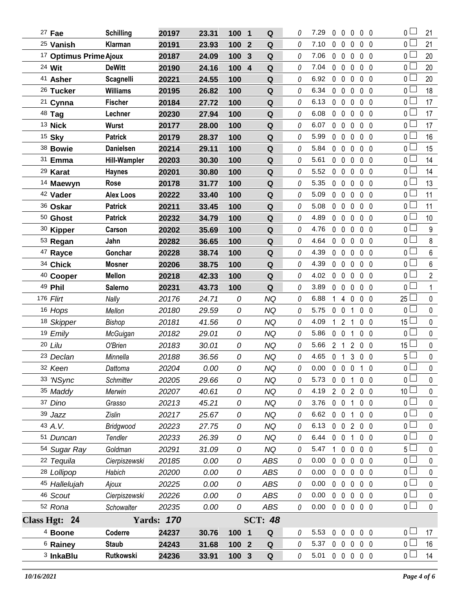| $27$ Fae                          | <b>Schilling</b> | 20197             | 23.31 | 100 1 | Q                     | 0 | 7.29     | $\mathbf{0}$   | $0\quad 0$                 |                   | 0 <sub>0</sub> | 0 <sub>0</sub>  | 21               |
|-----------------------------------|------------------|-------------------|-------|-------|-----------------------|---|----------|----------------|----------------------------|-------------------|----------------|-----------------|------------------|
| <sup>25</sup> Vanish              | Klarman          | 20191             | 23.93 | 100   | Q<br>$\boldsymbol{2}$ | 0 | 7.10     | $\mathbf 0$    | $\mathbf 0$                | 0                 | 0 <sub>0</sub> | 0 <sup>1</sup>  | 21               |
| <sup>17</sup> Optimus Prime Ajoux |                  | 20187             | 24.09 | 100   | $\mathbf{3}$<br>Q     | 0 | 7.06     | $\mathbf 0$    | $\overline{0}$             | 0                 | 0 <sub>0</sub> | 0 <sub>l</sub>  | 20               |
| 24 Wit                            | <b>DeWitt</b>    | 20190             | 24.16 | 100   | $\overline{4}$<br>Q   | 0 | 7.04     | $\mathbf 0$    | $\mathbf 0$                | 0                 | 0 <sub>0</sub> | 0 <sup>1</sup>  | 20               |
| <sup>41</sup> Asher               | Scagnelli        | 20221             | 24.55 | 100   | Q                     | 0 | 6.92     | $\mathbf 0$    | $\mathbf 0$                | $\mathbf 0$       | 0 <sub>0</sub> | 0 <sub>l</sub>  | 20               |
| 26 Tucker                         | <b>Williams</b>  | 20195             | 26.82 | 100   | ${\bf Q}$             | 0 | 6.34     | $\mathbf 0$    | $\mathbf 0$                | 0                 | 0 <sub>0</sub> | 0 <sub>0</sub>  | 18               |
| <sup>21</sup> Cynna               | <b>Fischer</b>   | 20184             | 27.72 | 100   | Q                     | 0 | 6.13     | $\mathbf 0$    | $\mathbf 0$                | 0                 | 0 <sub>0</sub> | 0 L             | 17               |
| 48 Tag                            | Lechner          | 20230             | 27.94 | 100   | Q                     | 0 | 6.08     | $\mathbf 0$    | $\mathbf 0$                | 0                 | 0 <sub>0</sub> | 0 <sub>0</sub>  | 17               |
| <sup>13</sup> Nick                | <b>Wurst</b>     | 20177             | 28.00 | 100   | Q                     | 0 | 6.07     | $0\quad 0$     |                            | $\mathbf 0$       | 0 <sub>0</sub> | 0 <sub>0</sub>  | 17               |
| 15 Sky                            | <b>Patrick</b>   | 20179             | 28.37 | 100   | Q                     | 0 | 5.99     | $0\quad 0$     |                            | 0                 | 0 <sub>0</sub> | 0 <sub>0</sub>  | 16               |
| 38 Bowie                          | <b>Danielsen</b> | 20214             | 29.11 | 100   | Q                     | 0 | 5.84     | $0\quad 0$     |                            | 0                 | 0 <sub>0</sub> | 0 <sub>0</sub>  | 15               |
| 31 Emma                           | Hill-Wampler     | 20203             | 30.30 | 100   | Q                     | 0 | 5.61     | $0\quad 0$     | $\mathbf 0$                |                   | $0\quad 0$     | 0 <sup>1</sup>  | 14               |
| 29 Karat                          | <b>Haynes</b>    | 20201             | 30.80 | 100   | Q                     | 0 | 5.52     | $\mathbf 0$    | $\mathbf 0$                | $\mathbf 0$       | 0 <sub>0</sub> | 0 <sub>0</sub>  | 14               |
| 14 Maewyn                         | Rose             | 20178             | 31.77 | 100   | Q                     | 0 | 5.35     | $\mathbf 0$    | $0\quad 0$                 |                   | $0\quad 0$     | 0 <sub>0</sub>  | 13               |
| 42 Vader                          | <b>Alex Loos</b> | 20222             | 33.40 | 100   | Q                     | 0 | 5.09     | $0\quad 0$     |                            | 0                 | 0 <sub>0</sub> | 0 <sub>0</sub>  | 11               |
| 36 Oskar                          | <b>Patrick</b>   | 20211             | 33.45 | 100   | Q                     | 0 | 5.08     | $\mathbf{0}$   | $\mathbf 0$<br>$\mathbf 0$ |                   | $0\quad 0$     | 0 <sup>1</sup>  | 11               |
| 50 Ghost                          | <b>Patrick</b>   | 20232             | 34.79 | 100   | Q                     | 0 | 4.89     | $\mathbf{0}$   | $\mathbf 0$                | $\mathbf 0$       | 0 <sub>0</sub> | 0 <sub>0</sub>  | 10               |
| 30 Kipper                         | Carson           | 20202             | 35.69 | 100   | Q                     | 0 | 4.76     | $\mathbf 0$    | $\mathbf 0$<br>$\mathbf 0$ |                   | $0\quad 0$     | 0 <sub>0</sub>  | $\boldsymbol{9}$ |
| 53 Regan                          | Jahn             | 20282             | 36.65 | 100   | Q                     | 0 | 4.64     |                | $0\quad 0\quad 0$          |                   | 0 <sub>0</sub> | 0 <sub>0</sub>  | 8                |
| <sup>47</sup> Rayce               | Gonchar          | 20228             | 38.74 | 100   | Q                     | 0 | 4.39     | $\mathbf{0}$   | $0\quad 0$                 |                   | 0 <sub>0</sub> | 0 <sub>1</sub>  | $6\phantom{.}$   |
| 34 Chick                          | Mosner           | 20206             | 38.75 | 100   | Q                     | 0 | 4.39     | $0\quad 0$     |                            | 0                 | 0 <sub>0</sub> | 0 <sub>1</sub>  | 6                |
| <sup>40</sup> Cooper              | <b>Mellon</b>    | 20218             | 42.33 | 100   | $\mathbf Q$           | 0 | 4.02     | $\mathbf 0$    | $0\quad 0$                 |                   | $0\quad 0$     | 0 <sub>1</sub>  | $\overline{2}$   |
| 49 Phil                           | <b>Salerno</b>   | 20231             | 43.73 | 100   | Q                     | 0 | 3.89     | $0\quad 0$     | $\mathbf 0$                |                   | 0 <sub>0</sub> | 0 <sub>0</sub>  | $\mathbf{1}$     |
| 176 Flirt                         | Nally            | 20176             | 24.71 | 0     | <b>NQ</b>             | 0 | 6.88     |                | 1 4 0                      |                   | $0\quad 0$     | $25 \Box$       | $\mathbf 0$      |
| 16 Hops                           | Mellon           | 20180             | 29.59 | 0     | <b>NQ</b>             | 0 | 5.75     | $\mathbf 0$    | $\mathbf{0}$               | 1                 | $0\quad 0$     | 0 <sub>l</sub>  | $\mathbf 0$      |
| 18 Skipper                        | Bishop           | 20181             | 41.56 | 0     | <b>NQ</b>             | 0 | 4.09     | $\mathbf{1}$   | $\overline{2}$             | 1                 | 0 <sub>0</sub> | $15$ $-$        | $\mathbf 0$      |
| 19 Emily                          | McGuigan         | 20182             | 29.01 | 0     | <b>NQ</b>             | 0 | 5.86     | $0\quad 0$     |                            | 1                 | $0\quad 0$     | 0 <sub>0</sub>  | $\mathbf 0$      |
| 20 Lilu                           | O'Brien          | 20183             | 30.01 | 0     | <b>NQ</b>             | 0 | 5.66     | 2 <sub>1</sub> |                            | $\overline{2}$    | 0 <sub>0</sub> | $15\perp$       | $\mathbf 0$      |
| <sup>23</sup> Declan              | Minnella         | 20188             | 36.56 | 0     | <b>NQ</b>             | 0 | 4.65     | 0 <sub>1</sub> |                            | 3                 | 0 <sub>0</sub> | 5 <sub>1</sub>  | $\pmb{0}$        |
| 32 Keen                           | Dattoma          | 20204             | 0.00  | 0     | <b>NQ</b>             | 0 | 0.00     |                | $0\quad 0\quad 0$          |                   | 10             | $\overline{0}$  | 0                |
| 33 'NSync                         | Schmitter        | 20205             | 29.66 | 0     | <b>NQ</b>             | 0 | 5.73     |                | $0 \t0 \t1$                |                   | 0 <sub>0</sub> | 0 <sub>1</sub>  | 0                |
| 35 Maddy                          | Merwin           | 20207             | 40.61 | 0     | <b>NQ</b>             | 0 | 4.19     |                |                            | 2 0 2 0 0         |                | 10 <sup>1</sup> | $\pmb{0}$        |
| 37 Dino                           | Grasso           | 20213             | 45.21 | 0     | <b>NQ</b>             | 0 | 3.76     | $0\quad 0$     |                            | 1                 | $0\quad 0$     | $0-$            | 0                |
| 39 Jazz                           | Zislin           | 20217             | 25.67 | 0     | NQ                    | 0 | 6.62 0 0 |                |                            | $\mathbf{1}$      | $0\quad 0$     | 0 <sub>0</sub>  | $\pmb{0}$        |
| 43 A.V.                           | Bridgwood        | 20223             | 27.75 | 0     | NQ                    | 0 | 6.13     |                | $0 \t0 \t2$                |                   | 0 <sub>0</sub> | 0 <sub>0</sub>  | 0                |
| 51 Duncan                         | Tendler          | 20233             | 26.39 | 0     | <b>NQ</b>             | 0 | 6.44     | $0\quad 0$     |                            | $\mathbf{1}$      | 0 <sub>0</sub> | 0 <sup>2</sup>  | $\pmb{0}$        |
| 54 Sugar Ray                      | Goldman          | 20291             | 31.09 | 0     | <b>NQ</b>             | 0 | 5.47     | $1\quad0$      | 0                          |                   | 0 <sub>0</sub> | 5 L             | $\pmb{0}$        |
| 22 Tequila                        | Cierpiszewski    | 20185             | 0.00  | 0     | ABS                   | 0 | 0.00     |                | $0\quad 0\quad 0$          |                   | 0 <sub>0</sub> | 0 <sub>1</sub>  | $\pmb{0}$        |
| 28 Lollipop                       | Habich           | 20200             | 0.00  | 0     | ABS                   | 0 | 0.00     | $0\quad 0$     |                            | $0\quad 0\quad 0$ |                | $0\square$      | $\mathbf 0$      |
| 45 Hallelujah                     | Ajoux            | 20225             | 0.00  | 0     | ABS                   | 0 | 0.00     |                |                            | 00000             |                | $\overline{0}$  | $\pmb{0}$        |
| 46 Scout                          | Cierpiszewski    | 20226             | 0.00  | 0     | ABS                   | 0 | 0.00     | $0\quad 0$     |                            | $\mathbf 0$       | $0\quad 0$     | 0 <sub>0</sub>  | 0                |
| 52 Rona                           | Schowalter       | 20235             | 0.00  | 0     | ABS                   | 0 | 0.00     |                |                            | 00000             |                | $\overline{0}$  | $\mathbf 0$      |
| Class Hgt: 24                     |                  | <b>Yards: 170</b> |       |       | <b>SCT: 48</b>        |   |          |                |                            |                   |                |                 |                  |
| <sup>4</sup> Boone                | Coderre          | 24237             | 30.76 | 100 1 | Q                     | 0 | 5.53     |                |                            | 00000             |                | 0 <sub>1</sub>  | 17               |
| <sup>6</sup> Rainey               | <b>Staub</b>     | 24243             | 31.68 | 100 2 | Q                     | 0 | 5.37     |                |                            | 00000             |                | 0 <sub>0</sub>  | 16               |
| <sup>3</sup> InkaBlu              | Rutkowski        | 24236             | 33.91 | 100 3 | Q                     | 0 | 5.01     |                |                            | 00000             |                | 0 <sub>1</sub>  | 14               |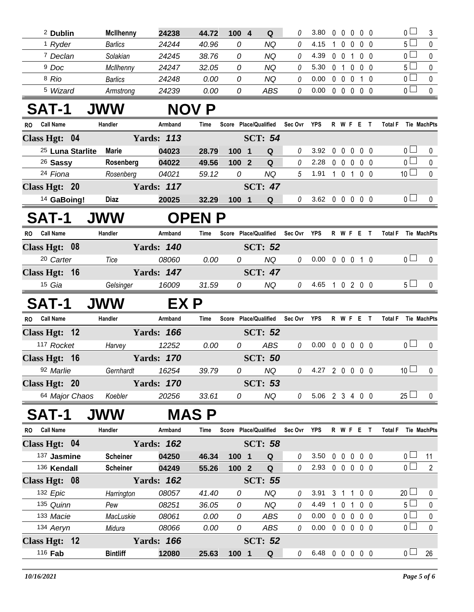| <sup>2</sup> Dublin           | <b>McIlhenny</b> | 24238             | 44.72        | 100 4                 | Q                     | 0           | 3.80                       | $\mathbf{0}$ | $\mathbf{0}$      | $\mathbf 0$    | 0 <sub>0</sub>   |                    | $\overline{0}$        | $\mathbf{3}$        |
|-------------------------------|------------------|-------------------|--------------|-----------------------|-----------------------|-------------|----------------------------|--------------|-------------------|----------------|------------------|--------------------|-----------------------|---------------------|
| <sup>1</sup> Ryder            | <b>Barlics</b>   | 24244             | 40.96        | 0                     | <b>NQ</b>             | 0           | 4.15                       | $\mathbf 1$  | $\mathbf{0}$      | $\mathbf 0$    | 0 <sub>0</sub>   |                    | $5\Box$               | $\mathbf 0$         |
| 7 Declan                      | Solakian         | 24245             | 38.76        | 0                     | <b>NQ</b>             | 0           | 4.39                       |              | $0\quad 0$        | $\overline{1}$ | $0\quad 0$       |                    | 0 <sub>0</sub>        | $\mathbf 0$         |
| <sup>9</sup> Doc              | McIlhenny        | 24247             | 32.05        | 0                     | <b>NQ</b>             | 0           | 5.30                       |              | 0 <sub>1</sub>    | 0              | $0\quad 0$       |                    | $5\Box$               | $\mathbf 0$         |
| 8 Rio                         | <b>Barlics</b>   | 24248             | 0.00         | 0                     | <b>NQ</b>             | 0           | 0.00                       |              | $0\quad 0$        | $\mathbf 0$    | $1\quad0$        |                    | $\overline{0}$        | $\mathbf 0$         |
| <sup>5</sup> Wizard           | Armstrong        | 24239             | 0.00         | 0                     | ABS                   | 0           | 0.00                       |              |                   |                | 00000            |                    | $\overline{0}$        | $\pmb{0}$           |
| <b>SAT-1</b>                  | <b>JWW</b>       |                   | NOV P        |                       |                       |             |                            |              |                   |                |                  |                    |                       |                     |
| <b>Call Name</b><br>RO.       | Handler          | Armband           | Time         |                       | Score Place/Qualified | Sec Ovr YPS |                            |              |                   |                | <b>R W F E T</b> |                    |                       | Total F Tie MachPts |
| Class Hgt: 04                 |                  | <b>Yards: 113</b> |              |                       | <b>SCT: 54</b>        |             |                            |              |                   |                |                  |                    |                       |                     |
| <sup>25</sup> Luna Starlite   | <b>Marie</b>     | 04023             | 28.79        | 100 1                 | Q                     | 0           | 3.92                       | 0            | $\mathbf 0$       | 0              | $0\quad 0$       |                    | $\overline{0}$ $\Box$ | 0                   |
| 26 Sassy                      | Rosenberg        | 04022             | 49.56        | 100 2                 | $\mathbf Q$           | 0           | 2.28                       |              | $0\quad 0\quad 0$ |                | $0\quad 0$       |                    | $\overline{0}$        | 0                   |
| 24 Fiona                      | Rosenberg        | 04021             | 59.12        | 0                     | <b>NQ</b>             | 5           | 1.91                       |              |                   |                | 1 0 1 0 0        |                    | 10 <sup>1</sup>       | $\pmb{0}$           |
| Class Hgt: 20                 |                  | <b>Yards: 117</b> |              |                       | <b>SCT: 47</b>        |             |                            |              |                   |                |                  |                    |                       |                     |
| <sup>14</sup> GaBoing!        | <b>Diaz</b>      | 20025             | 32.29        | 100 1                 | Q                     | 0           | 3.62 0 0 0 0 0             |              |                   |                |                  |                    | 0 <sub>0</sub>        | 0                   |
| <b>SAT-1</b>                  | <b>JWW</b>       |                   | <b>OPENP</b> |                       |                       |             |                            |              |                   |                |                  |                    |                       |                     |
| <b>Call Name</b><br><b>RO</b> | Handler          | Armband           | Time         | Score Place/Qualified |                       | Sec Ovr     | YPS                        |              |                   |                | R W F E T        | <b>Total F</b>     |                       | Tie MachPts         |
| Class Hgt: 08                 |                  | <b>Yards: 140</b> |              |                       | <b>SCT: 52</b>        |             |                            |              |                   |                |                  |                    |                       |                     |
| <sup>20</sup> Carter          | Tice             | 08060             | 0.00         | 0                     | <b>NQ</b>             | 0           | $0.00 \t0 \t0 \t0 \t1 \t0$ |              |                   |                |                  |                    | 0 <sup>1</sup>        | $\mathbf 0$         |
| Class Hgt: 16                 |                  | <b>Yards: 147</b> |              |                       | <b>SCT: 47</b>        |             |                            |              |                   |                |                  |                    |                       |                     |
| 15 Gia                        | Gelsinger        | 16009             | 31.59        | 0                     | NQ                    | 0           | 4.65 1 0 2 0 0             |              |                   |                |                  |                    | $5\perp$              | $\mathbf{0}$        |
|                               |                  |                   |              |                       |                       |             |                            |              |                   |                |                  |                    |                       |                     |
| <b>SAT-1</b>                  | <b>JWW</b>       | EX P              |              |                       |                       |             |                            |              |                   |                |                  |                    |                       |                     |
| RO Call Name                  | Handler          | Armband           | Time         | Score Place/Qualified |                       | Sec Ovr YPS |                            |              |                   |                | R W F E T        |                    |                       | Total F Tie MachPts |
| Class Hgt: 12                 |                  | <b>Yards: 166</b> |              |                       | <b>SCT: 52</b>        |             |                            |              |                   |                |                  |                    |                       |                     |
| 117 Rocket                    | Harvey           | 12252             | 0.00         | 0                     | <b>ABS</b>            | 0           | $0.00 \t0 \t0 \t0 \t0 \t0$ |              |                   |                |                  |                    | 0 <sub>0</sub>        | $\mathbf 0$         |
| Class Hgt: 16                 |                  | <b>Yards: 170</b> |              |                       | <b>SCT: 50</b>        |             |                            |              |                   |                |                  |                    |                       |                     |
| 92 Marlie                     |                  | Gernhardt 16254   | 39.79        | $\overline{0}$        | NQ                    |             |                            |              |                   |                |                  | $0$ 4.27 2 0 0 0 0 | $10$ $\Box$           | $\overline{0}$      |
| Class Hgt: 20                 |                  | <b>Yards: 170</b> |              |                       | <b>SCT: 53</b>        |             |                            |              |                   |                |                  |                    |                       |                     |
| 64 Major Chaos                | Koebler          | 20256             | 33.61        | 0                     | NQ                    | 0           | 5.06 2 3 4 0 0             |              |                   |                |                  |                    | $25 \Box$             | 0                   |
| SAT-1                         | <b>JWW</b>       |                   | MAS P        |                       |                       |             |                            |              |                   |                |                  |                    |                       |                     |
| <b>Call Name</b><br>RO.       | Handler          | Armband           | Time         | Score Place/Qualified |                       | Sec Ovr YPS |                            |              |                   |                | R W F E T        | <b>Total F</b>     |                       | <b>Tie MachPts</b>  |
| Class Hgt: 04                 |                  | <b>Yards: 162</b> |              |                       | <b>SCT: 58</b>        |             |                            |              |                   |                |                  |                    |                       |                     |
| 137 Jasmine                   | <b>Scheiner</b>  | 04250             | 46.34        | 100 1                 | Q                     | 0           | 3.50                       |              |                   |                | 0 0 0 0 0        |                    | 0 <sub>1</sub>        | 11                  |
| 136 Kendall                   | <b>Scheiner</b>  | 04249             | 55.26        | 100 2                 | Q                     | 0           | 2.93 0 0 0 0 0             |              |                   |                |                  |                    | 0 <sub>l</sub>        | $\overline{2}$      |
| Class Hgt: 08                 |                  | <b>Yards: 162</b> |              |                       | <b>SCT: 55</b>        |             |                            |              |                   |                |                  |                    |                       |                     |
| 132 Epic                      | Harrington       | 08057             | 41.40        | 0                     | <b>NQ</b>             | 0           | 3.91                       |              |                   |                | 3 1 1 0 0        |                    | $20 \Box$             | 0                   |
| 135 Quinn                     | Pew              | 08251             | 36.05        | 0                     | <b>NQ</b>             | 0           | 4.49                       |              |                   |                | 1 0 1 0 0        |                    | 5 <sub>1</sub>        | $\mathbf 0$         |
| 133 Macie                     | MacLuskie        | 08061             | 0.00         | 0                     | <b>ABS</b>            | 0           | 0.00                       |              |                   |                | 0 0 0 0 0        |                    | 0 <sub>l</sub>        | $\pmb{0}$           |
| 134 Aeryn                     | Midura           | 08066             | 0.00         | 0                     | ABS                   | 0           | $0.00 \t0 \t0 \t0 \t0 \t0$ |              |                   |                |                  |                    | 0 <sub>0</sub>        | $\pmb{0}$           |
| Class Hgt: 12                 |                  | <b>Yards: 166</b> |              |                       | <b>SCT: 52</b>        |             |                            |              |                   |                |                  |                    |                       |                     |
|                               |                  |                   |              |                       |                       |             |                            |              |                   |                |                  |                    |                       |                     |
| 116 Fab                       | <b>Bintliff</b>  | 12080             | 25.63        | 100 1                 | Q                     | $\theta$    | 6.48 0 0 0 0 0             |              |                   |                |                  |                    | 0 <sub>1</sub>        | 26                  |